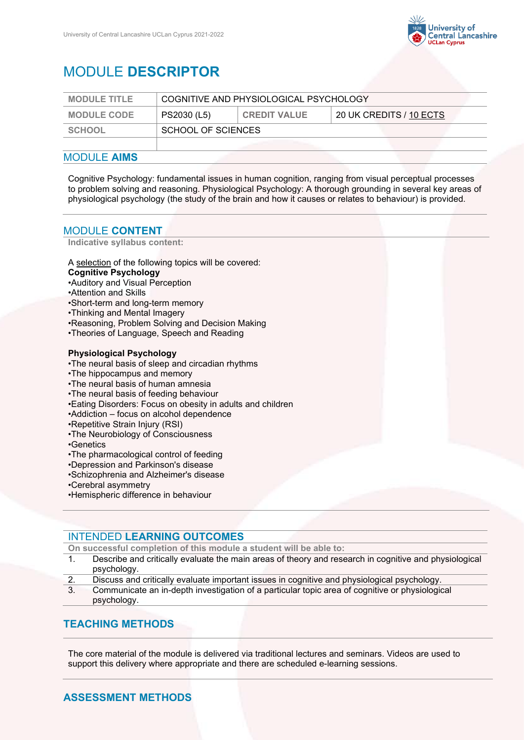

# MODULE **DESCRIPTOR**

| <b>MODULE TITLE</b> | COGNITIVE AND PHYSIOLOGICAL PSYCHOLOGY |                     |                         |
|---------------------|----------------------------------------|---------------------|-------------------------|
| <b>MODULE CODE</b>  | PS2030 (L5)                            | <b>CREDIT VALUE</b> | 20 UK CREDITS / 10 ECTS |
| <b>SCHOOL</b>       | SCHOOL OF SCIENCES                     |                     |                         |
|                     |                                        |                     |                         |

### MODULE **AIMS**

Cognitive Psychology: fundamental issues in human cognition, ranging from visual perceptual processes to problem solving and reasoning. Physiological Psychology: A thorough grounding in several key areas of physiological psychology (the study of the brain and how it causes or relates to behaviour) is provided.

### MODULE **CONTENT**

**Indicative syllabus content:**

A selection of the following topics will be covered:

- **Cognitive Psychology**
- •Auditory and Visual Perception
- •Attention and Skills
- •Short-term and long-term memory
- •Thinking and Mental Imagery
- •Reasoning, Problem Solving and Decision Making
- •Theories of Language, Speech and Reading

#### **Physiological Psychology**

- •The neural basis of sleep and circadian rhythms
- •The hippocampus and memory
- •The neural basis of human amnesia
- •The neural basis of feeding behaviour
- •Eating Disorders: Focus on obesity in adults and children
- •Addiction focus on alcohol dependence
- •Repetitive Strain Injury (RSI)
- •The Neurobiology of Consciousness
- •Genetics
- •The pharmacological control of feeding
- •Depression and Parkinson's disease
- •Schizophrenia and Alzheimer's disease
- •Cerebral asymmetry
- •Hemispheric difference in behaviour

### INTENDED **LEARNING OUTCOMES**

**On successful completion of this module a student will be able to:**

- 1. Describe and critically evaluate the main areas of theory and research in cognitive and physiological psychology.
- 2. Discuss and critically evaluate important issues in cognitive and physiological psychology.
- 3. Communicate an in-depth investigation of a particular topic area of cognitive or physiological psychology.

### **TEACHING METHODS**

The core material of the module is delivered via traditional lectures and seminars. Videos are used to support this delivery where appropriate and there are scheduled e-learning sessions.

## **ASSESSMENT METHODS**